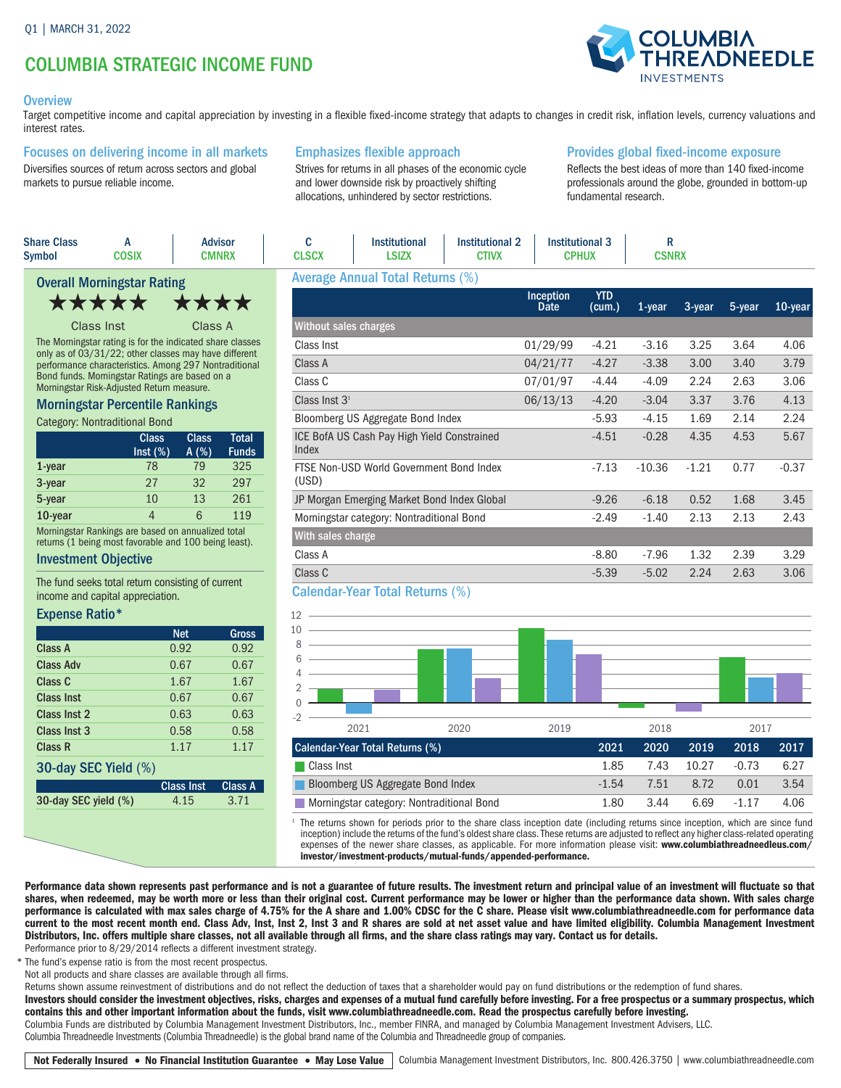# COLUMBIA STRATEGIC INCOME FUND

#### **Overview**

Target competitive income and capital appreciation by investing in a flexible fixed-income strategy that adapts to changes in credit risk, inflation levels, currency valuations and interest rates.

#### Focuses on delivering income in all markets

Diversifies sources of return across sectors and global markets to pursue reliable income.

# Emphasizes flexible approach

Strives for returns in all phases of the economic cycle and lower downside risk by proactively shifting allocations, unhindered by sector restrictions.

## Provides global fixed-income exposure

Reflects the best ideas of more than 140 fixed-income professionals around the globe, grounded in bottom-up fundamental research.

| <b>Share Class</b><br>Symbol                                                                                                                                                | A<br><b>COSIX</b>                                                                                           |                      | <b>Advisor</b><br><b>CMNRX</b> | C<br><b>CLSCX</b>                 | <b>Institutional</b><br><b>LSIZX</b>        | <b>Institutional 2</b><br><b>CTIVX</b> | <b>Institutional 3</b><br><b>CPHUX</b> |                      | R<br><b>CSNRX</b> |         |        |         |
|-----------------------------------------------------------------------------------------------------------------------------------------------------------------------------|-------------------------------------------------------------------------------------------------------------|----------------------|--------------------------------|-----------------------------------|---------------------------------------------|----------------------------------------|----------------------------------------|----------------------|-------------------|---------|--------|---------|
|                                                                                                                                                                             | <b>Overall Morningstar Rating</b>                                                                           |                      |                                |                                   | <b>Average Annual Total Returns (%)</b>     |                                        |                                        |                      |                   |         |        |         |
|                                                                                                                                                                             | *****                                                                                                       | ★★★★                 |                                |                                   |                                             |                                        | <b>Inception</b><br>Date               | <b>YTD</b><br>(cum.) | 1-year            | 3-year  | 5-year | 10-year |
|                                                                                                                                                                             | Class Inst                                                                                                  | Class A              |                                | <b>Without sales charges</b>      |                                             |                                        |                                        |                      |                   |         |        |         |
| The Morningstar rating is for the indicated share classes<br>only as of 03/31/22; other classes may have different<br>performance characteristics. Among 297 Nontraditional |                                                                                                             |                      | Class Inst                     |                                   |                                             | 01/29/99                               | $-4.21$                                | $-3.16$              | 3.25              | 3.64    | 4.06   |         |
|                                                                                                                                                                             |                                                                                                             |                      | Class A                        |                                   |                                             | 04/21/77                               | $-4.27$                                | $-3.38$              | 3.00              | 3.40    | 3.79   |         |
| Bond funds. Morningstar Ratings are based on a<br>Morningstar Risk-Adjusted Return measure.                                                                                 |                                                                                                             |                      | Class C                        |                                   |                                             | 07/01/97                               | -4.44                                  | $-4.09$              | 2.24              | 2.63    | 3.06   |         |
| <b>Morningstar Percentile Rankings</b>                                                                                                                                      |                                                                                                             |                      | Class Inst $31$                |                                   |                                             | 06/13/13                               | $-4.20$                                | $-3.04$              | 3.37              | 3.76    | 4.13   |         |
| Category: Nontraditional Bond                                                                                                                                               |                                                                                                             |                      |                                | Bloomberg US Aggregate Bond Index |                                             |                                        | $-5.93$                                | $-4.15$              | 1.69              | 2.14    | 2.24   |         |
|                                                                                                                                                                             | <b>Class</b><br>Inst (%)                                                                                    | <b>Class</b><br>A(%) | <b>Total</b><br><b>Funds</b>   | Index                             | ICE BofA US Cash Pay High Yield Constrained |                                        |                                        | $-4.51$              | $-0.28$           | 4.35    | 4.53   | 5.67    |
| 1-year                                                                                                                                                                      | 78                                                                                                          | 79                   | 325                            |                                   | FTSE Non-USD World Government Bond Index    |                                        |                                        | $-7.13$              | $-10.36$          | $-1.21$ | 0.77   | $-0.37$ |
| 3-year                                                                                                                                                                      | 27                                                                                                          | 32                   | 297                            | (USD)                             |                                             |                                        |                                        |                      |                   |         |        |         |
| 5-year                                                                                                                                                                      | 10                                                                                                          | 13                   | 261                            |                                   | JP Morgan Emerging Market Bond Index Global |                                        |                                        | $-9.26$              | $-6.18$           | 0.52    | 1.68   | 3.45    |
| 10-year                                                                                                                                                                     | $\overline{4}$                                                                                              | 6                    | 119                            |                                   | Morningstar category: Nontraditional Bond   |                                        |                                        | $-2.49$              | $-1.40$           | 2.13    | 2.13   | 2.43    |
|                                                                                                                                                                             | Morningstar Rankings are based on annualized total<br>returns (1 being most favorable and 100 being least). |                      |                                | With sales charge                 |                                             |                                        |                                        |                      |                   |         |        |         |
| <b>Investment Ohiective</b>                                                                                                                                                 |                                                                                                             |                      | Class A                        |                                   |                                             |                                        | $-8.80$                                | $-7.96$              | 1.32              | 2.39    | 3.29   |         |

#### Investment Objective

The fund seeks total return consisting of current income and capital appreciation.

#### Expense Ratio\*

|                      | <b>Net</b>        | Gross          |
|----------------------|-------------------|----------------|
| Class A              | 0.92              | 0.92           |
| <b>Class Adv</b>     | 0.67              | 0.67           |
| Class C              | 1.67              | 1.67           |
| Class Inst           | 0.67              | 0.67           |
| Class Inst 2         | 0.63              | 0.63           |
| Class Inst 3         | 0.58              | 0.58           |
| Class R              | 1.17              | 1.17           |
| 30-day SEC Yield (%) |                   |                |
|                      | <b>Class Inst</b> | <b>Class A</b> |
| 30-day SEC yield (%) | 4.15              | 3.71           |

| Class C                                | $-5.39$ | $-5.02$ 2.24 2.63 | 3.06 |
|----------------------------------------|---------|-------------------|------|
| <b>Calendar-Year Total Returns (%)</b> |         |                   |      |



The returns shown for periods prior to the share class inception date (including returns since inception, which are since fund inception) include the returns of the fund's oldest share class. These returns are adjusted to reflect any higher class-related operating expenses of the newer share classes, as applicable. For more information please visit: www.columbiathreadneedleus.com/ investor/investment-products/mutual-funds/appended-performance.

Performance data shown represents past performance and is not a guarantee of future results. The investment return and principal value of an investment will fluctuate so that shares, when redeemed, may be worth more or less than their original cost. Current performance may be lower or higher than the performance data shown. With sales charge performance is calculated with max sales charge of 4.75% for the A share and 1.00% CDSC for the C share. Please visit www.columbiathreadneedle.com for performance data current to the most recent month end. Class Adv, Inst, Inst 2, Inst 3 and R shares are sold at net asset value and have limited eligibility. Columbia Management Investment Distributors, Inc. offers multiple share classes, not all available through all firms, and the share class ratings may vary. Contact us for details.

Performance prior to 8/29/2014 reflects a different investment strategy.

\* The fund's expense ratio is from the most recent prospectus.

Not all products and share classes are available through all firms.

Returns shown assume reinvestment of distributions and do not reflect the deduction of taxes that a shareholder would pay on fund distributions or the redemption of fund shares.

Investors should consider the investment objectives, risks, charges and expenses of a mutual fund carefully before investing. For a free prospectus or a summary prospectus, which contains this and other important information about the funds, visit www.columbiathreadneedle.com. Read the prospectus carefully before investing.

Columbia Funds are distributed by Columbia Management Investment Distributors, Inc., member FINRA, and managed by Columbia Management Investment Advisers, LLC. Columbia Threadneedle Investments (Columbia Threadneedle) is the global brand name of the Columbia and Threadneedle group of companies.